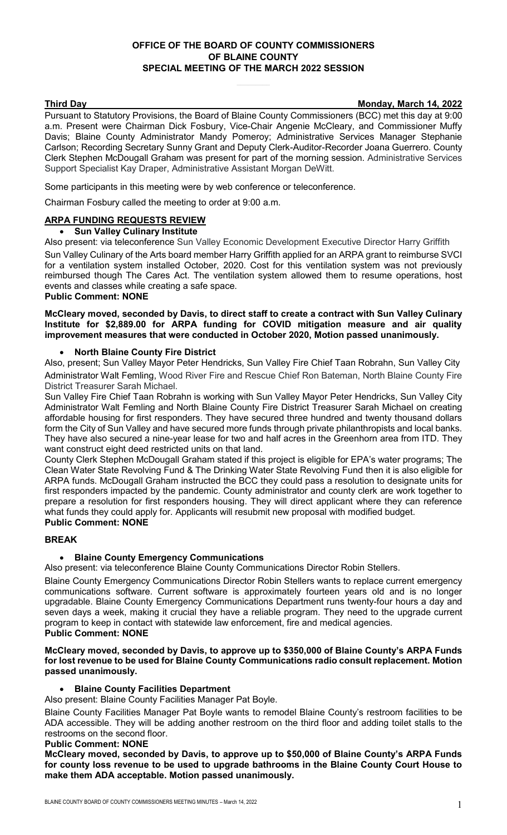# **OFFICE OF THE BOARD OF COUNTY COMMISSIONERS OF BLAINE COUNTY SPECIAL MEETING OF THE MARCH 2022 SESSION**

**Third Day Monday, March 14, 2022**

Pursuant to Statutory Provisions, the Board of Blaine County Commissioners (BCC) met this day at 9:00 a.m. Present were Chairman Dick Fosbury, Vice-Chair Angenie McCleary, and Commissioner Muffy Davis; Blaine County Administrator Mandy Pomeroy; Administrative Services Manager Stephanie Carlson; Recording Secretary Sunny Grant and Deputy Clerk-Auditor-Recorder Joana Guerrero. County Clerk Stephen McDougall Graham was present for part of the morning session. Administrative Services Support Specialist Kay Draper, Administrative Assistant Morgan DeWitt.

Some participants in this meeting were by web conference or teleconference.

Chairman Fosbury called the meeting to order at 9:00 a.m.

# **ARPA FUNDING REQUESTS REVIEW**

#### • **Sun Valley Culinary Institute**

Also present: via teleconference Sun Valley Economic Development Executive Director Harry Griffith

Sun Valley Culinary of the Arts board member Harry Griffith applied for an ARPA grant to reimburse SVCI for a ventilation system installed October, 2020. Cost for this ventilation system was not previously reimbursed though The Cares Act. The ventilation system allowed them to resume operations, host events and classes while creating a safe space.

# **Public Comment: NONE**

#### **McCleary moved, seconded by Davis, to direct staff to create a contract with Sun Valley Culinary Institute for \$2,889.00 for ARPA funding for COVID mitigation measure and air quality improvement measures that were conducted in October 2020, Motion passed unanimously.**

#### • **North Blaine County Fire District**

Also, present; Sun Valley Mayor Peter Hendricks, Sun Valley Fire Chief Taan Robrahn, Sun Valley City Administrator Walt Femling, Wood River Fire and Rescue Chief Ron Bateman, North Blaine County Fire District Treasurer Sarah Michael.

Sun Valley Fire Chief Taan Robrahn is working with Sun Valley Mayor Peter Hendricks, Sun Valley City Administrator Walt Femling and North Blaine County Fire District Treasurer Sarah Michael on creating affordable housing for first responders. They have secured three hundred and twenty thousand dollars form the City of Sun Valley and have secured more funds through private philanthropists and local banks. They have also secured a nine-year lease for two and half acres in the Greenhorn area from ITD. They want construct eight deed restricted units on that land.

County Clerk Stephen McDougall Graham stated if this project is eligible for EPA's water programs; The Clean Water State Revolving Fund & The Drinking Water State Revolving Fund then it is also eligible for ARPA funds. McDougall Graham instructed the BCC they could pass a resolution to designate units for first responders impacted by the pandemic. County administrator and county clerk are work together to prepare a resolution for first responders housing. They will direct applicant where they can reference what funds they could apply for. Applicants will resubmit new proposal with modified budget. **Public Comment: NONE** 

#### **BREAK**

## • **Blaine County Emergency Communications**

Also present: via teleconference Blaine County Communications Director Robin Stellers.

Blaine County Emergency Communications Director Robin Stellers wants to replace current emergency communications software. Current software is approximately fourteen years old and is no longer upgradable. Blaine County Emergency Communications Department runs twenty-four hours a day and seven days a week, making it crucial they have a reliable program. They need to the upgrade current program to keep in contact with statewide law enforcement, fire and medical agencies. **Public Comment: NONE** 

#### **McCleary moved, seconded by Davis, to approve up to \$350,000 of Blaine County's ARPA Funds for lost revenue to be used for Blaine County Communications radio consult replacement. Motion passed unanimously.**

## • **Blaine County Facilities Department**

Also present: Blaine County Facilities Manager Pat Boyle.

Blaine County Facilities Manager Pat Boyle wants to remodel Blaine County's restroom facilities to be ADA accessible. They will be adding another restroom on the third floor and adding toilet stalls to the restrooms on the second floor.

#### **Public Comment: NONE**

**McCleary moved, seconded by Davis, to approve up to \$50,000 of Blaine County's ARPA Funds for county loss revenue to be used to upgrade bathrooms in the Blaine County Court House to make them ADA acceptable. Motion passed unanimously.**